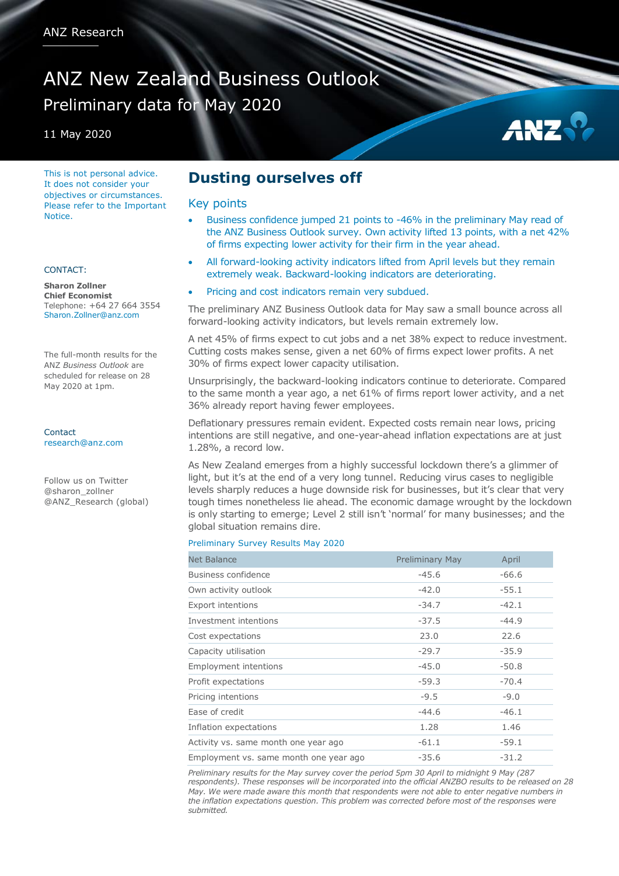# ANZ New Zealand Business Outlook Preliminary data for May 2020

11 May 2020

This is not personal advice. It does not consider your objectives or circumstances. Please refer to the Important **Notice** 

### CONTACT:

**Sharon Zollner Chief Economist** Telephone: +64 27 664 3554 Sharon.Zollner@anz.com

The full-month results for the ANZ *Business Outlook* are scheduled for release on 28 May 2020 at 1pm.

Contact [research@anz.com](mailto:research@anz.com)

Follow us on Twitter @sharon\_zollner @ANZ\_Research (global)

## **Dusting ourselves off**

### Key points

 Business confidence jumped 21 points to -46% in the preliminary May read of the ANZ Business Outlook survey. Own activity lifted 13 points, with a net 42% of firms expecting lower activity for their firm in the year ahead.

AN<sub>2</sub>

- All forward-looking activity indicators lifted from April levels but they remain extremely weak. Backward-looking indicators are deteriorating.
- Pricing and cost indicators remain very subdued.

The preliminary ANZ Business Outlook data for May saw a small bounce across all forward-looking activity indicators, but levels remain extremely low.

A net 45% of firms expect to cut jobs and a net 38% expect to reduce investment. Cutting costs makes sense, given a net 60% of firms expect lower profits. A net 30% of firms expect lower capacity utilisation.

Unsurprisingly, the backward-looking indicators continue to deteriorate. Compared to the same month a year ago, a net 61% of firms report lower activity, and a net 36% already report having fewer employees.

Deflationary pressures remain evident. Expected costs remain near lows, pricing intentions are still negative, and one-year-ahead inflation expectations are at just 1.28%, a record low.

As New Zealand emerges from a highly successful lockdown there's a glimmer of light, but it's at the end of a very long tunnel. Reducing virus cases to negligible levels sharply reduces a huge downside risk for businesses, but it's clear that very tough times nonetheless lie ahead. The economic damage wrought by the lockdown is only starting to emerge; Level 2 still isn't 'normal' for many businesses; and the global situation remains dire.

### Preliminary Survey Results May 2020

| Net Balance                            | <b>Preliminary May</b> | April   |
|----------------------------------------|------------------------|---------|
| Business confidence                    | $-45.6$                | $-66.6$ |
| Own activity outlook                   | $-42.0$                | $-55.1$ |
| <b>Export intentions</b>               | $-34.7$                | $-42.1$ |
| Investment intentions                  | $-37.5$                | $-44.9$ |
| Cost expectations                      | 23.0                   | 22.6    |
| Capacity utilisation                   | $-29.7$                | $-35.9$ |
| <b>Employment intentions</b>           | $-45.0$                | $-50.8$ |
| Profit expectations                    | $-59.3$                | $-70.4$ |
| Pricing intentions                     | $-9.5$                 | $-9.0$  |
| Ease of credit                         | $-44.6$                | $-46.1$ |
| Inflation expectations                 | 1.28                   | 1.46    |
| Activity vs. same month one year ago   | $-61.1$                | $-59.1$ |
| Employment vs. same month one year ago | $-35.6$                | $-31.2$ |

*Preliminary results for the May survey cover the period 5pm 30 April to midnight 9 May (287 respondents). These responses will be incorporated into the official ANZBO results to be released on 28 May. We were made aware this month that respondents were not able to enter negative numbers in the inflation expectations question. This problem was corrected before most of the responses were submitted.*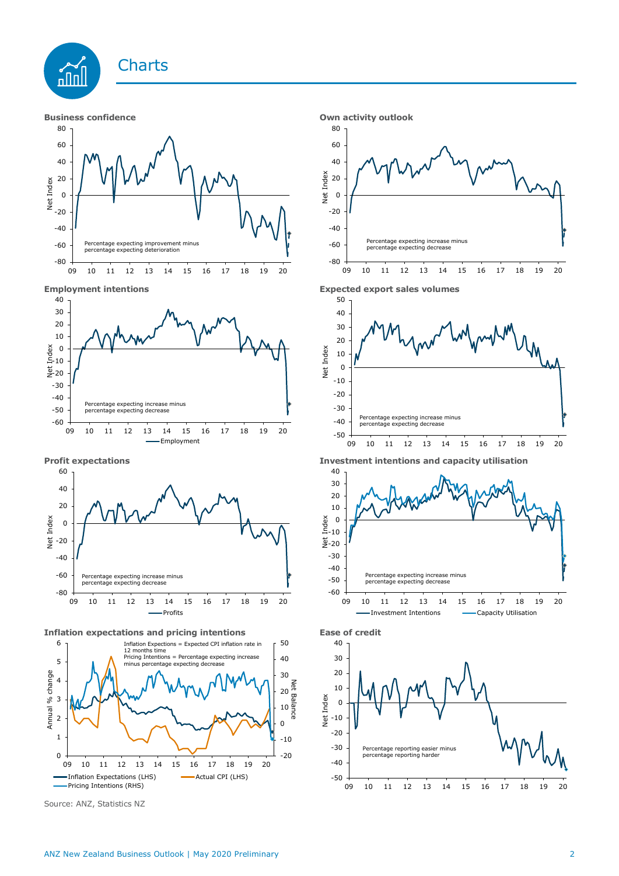







**Inflation expectations and pricing intentions Ease of credit**



Source: ANZ, Statistics NZ







**Profit expectations Investment intentions and capacity utilisation**



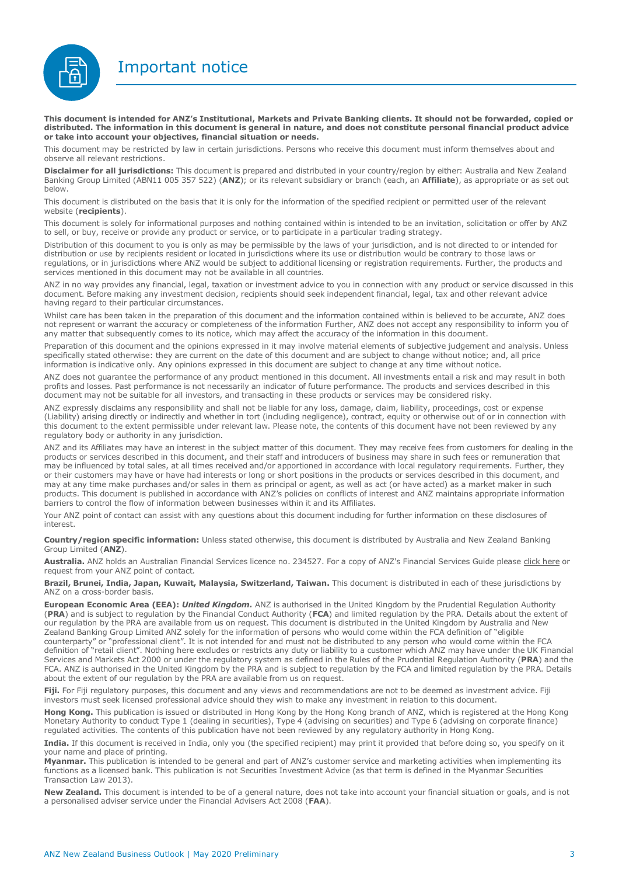Important notice



**This document is intended for ANZ's Institutional, Markets and Private Banking clients. It should not be forwarded, copied or distributed. The information in this document is general in nature, and does not constitute personal financial product advice or take into account your objectives, financial situation or needs.** 

This document may be restricted by law in certain jurisdictions. Persons who receive this document must inform themselves about and observe all relevant restrictions.

**Disclaimer for all jurisdictions:** This document is prepared and distributed in your country/region by either: Australia and New Zealand Banking Group Limited (ABN11 005 357 522) (**ANZ**); or its relevant subsidiary or branch (each, an **Affiliate**), as appropriate or as set out below.

This document is distributed on the basis that it is only for the information of the specified recipient or permitted user of the relevant website (**recipients**).

This document is solely for informational purposes and nothing contained within is intended to be an invitation, solicitation or offer by ANZ to sell, or buy, receive or provide any product or service, or to participate in a particular trading strategy.

Distribution of this document to you is only as may be permissible by the laws of your jurisdiction, and is not directed to or intended for distribution or use by recipients resident or located in jurisdictions where its use or distribution would be contrary to those laws or regulations, or in jurisdictions where ANZ would be subject to additional licensing or registration requirements. Further, the products and services mentioned in this document may not be available in all countries.

ANZ in no way provides any financial, legal, taxation or investment advice to you in connection with any product or service discussed in this document. Before making any investment decision, recipients should seek independent financial, legal, tax and other relevant advice having regard to their particular circumstances.

Whilst care has been taken in the preparation of this document and the information contained within is believed to be accurate, ANZ does not represent or warrant the accuracy or completeness of the information Further, ANZ does not accept any responsibility to inform you of any matter that subsequently comes to its notice, which may affect the accuracy of the information in this document.

Preparation of this document and the opinions expressed in it may involve material elements of subjective judgement and analysis. Unless specifically stated otherwise: they are current on the date of this document and are subject to change without notice; and, all price information is indicative only. Any opinions expressed in this document are subject to change at any time without notice.

ANZ does not guarantee the performance of any product mentioned in this document. All investments entail a risk and may result in both profits and losses. Past performance is not necessarily an indicator of future performance. The products and services described in this document may not be suitable for all investors, and transacting in these products or services may be considered risky.

ANZ expressly disclaims any responsibility and shall not be liable for any loss, damage, claim, liability, proceedings, cost or expense (Liability) arising directly or indirectly and whether in tort (including negligence), contract, equity or otherwise out of or in connection with this document to the extent permissible under relevant law. Please note, the contents of this document have not been reviewed by any regulatory body or authority in any jurisdiction.

ANZ and its Affiliates may have an interest in the subject matter of this document. They may receive fees from customers for dealing in the products or services described in this document, and their staff and introducers of business may share in such fees or remuneration that may be influenced by total sales, at all times received and/or apportioned in accordance with local regulatory requirements. Further, they or their customers may have or have had interests or long or short positions in the products or services described in this document, and may at any time make purchases and/or sales in them as principal or agent, as well as act (or have acted) as a market maker in such products. This document is published in accordance with ANZ's policies on conflicts of interest and ANZ maintains appropriate information barriers to control the flow of information between businesses within it and its Affiliates.

Your ANZ point of contact can assist with any questions about this document including for further information on these disclosures of interest.

**Country/region specific information:** Unless stated otherwise, this document is distributed by Australia and New Zealand Banking Group Limited (**ANZ**).

Australia. ANZ holds an Australian Financial Services licence no. 234527. For a copy of ANZ's Financial Services Guide please [click here](http://www.anz.com/documents/AU/aboutANZ/FinancialServicesGuide.pdf) or request from your ANZ point of contact.

**Brazil, Brunei, India, Japan, Kuwait, Malaysia, Switzerland, Taiwan.** This document is distributed in each of these jurisdictions by ANZ on a cross-border basis.

**European Economic Area (EEA):** *United Kingdom.* ANZ is authorised in the United Kingdom by the Prudential Regulation Authority (**PRA**) and is subject to regulation by the Financial Conduct Authority (**FCA**) and limited regulation by the PRA. Details about the extent of our regulation by the PRA are available from us on request. This document is distributed in the United Kingdom by Australia and New Zealand Banking Group Limited ANZ solely for the information of persons who would come within the FCA definition of "eligible counterparty" or "professional client". It is not intended for and must not be distributed to any person who would come within the FCA definition of "retail client". Nothing here excludes or restricts any duty or liability to a customer which ANZ may have under the UK Financial Services and Markets Act 2000 or under the regulatory system as defined in the Rules of the Prudential Regulation Authority (**PRA**) and the FCA. ANZ is authorised in the United Kingdom by the PRA and is subject to regulation by the FCA and limited regulation by the PRA. Details about the extent of our regulation by the PRA are available from us on request.

Fiji. For Fiji regulatory purposes, this document and any views and recommendations are not to be deemed as investment advice. Fiji investors must seek licensed professional advice should they wish to make any investment in relation to this document.

**Hong Kong.** This publication is issued or distributed in Hong Kong by the Hong Kong branch of ANZ, which is registered at the Hong Kong Monetary Authority to conduct Type 1 (dealing in securities), Type 4 (advising on securities) and Type 6 (advising on corporate finance) regulated activities. The contents of this publication have not been reviewed by any regulatory authority in Hong Kong.

**India.** If this document is received in India, only you (the specified recipient) may print it provided that before doing so, you specify on it your name and place of printing.

**Myanmar.** This publication is intended to be general and part of ANZ's customer service and marketing activities when implementing its functions as a licensed bank. This publication is not Securities Investment Advice (as that term is defined in the Myanmar Securities Transaction Law 2013).

**New Zealand.** This document is intended to be of a general nature, does not take into account your financial situation or goals, and is not a personalised adviser service under the Financial Advisers Act 2008 (**FAA**).